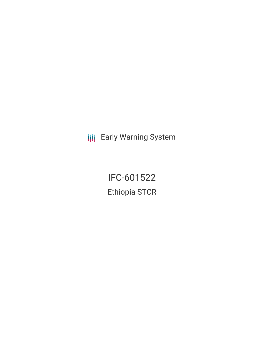**III** Early Warning System

IFC-601522 Ethiopia STCR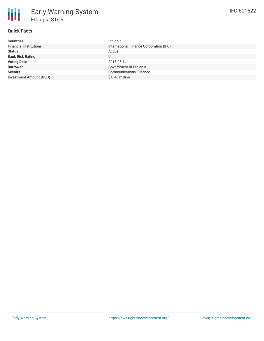## **Quick Facts**

| <b>Countries</b>               | Ethiopia                                |
|--------------------------------|-----------------------------------------|
| <b>Financial Institutions</b>  | International Finance Corporation (IFC) |
| <b>Status</b>                  | Active                                  |
| <b>Bank Risk Rating</b>        |                                         |
| <b>Voting Date</b>             | 2016-05-14                              |
| <b>Borrower</b>                | Government of Ethiopia                  |
| <b>Sectors</b>                 | Communications, Finance                 |
| <b>Investment Amount (USD)</b> | $$0.46$ million                         |
|                                |                                         |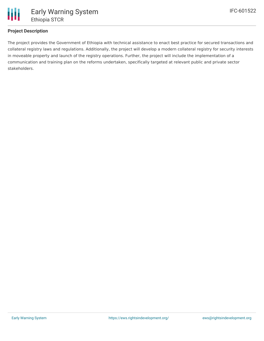

## **Project Description**

The project provides the Government of Ethiopia with technical assistance to enact best practice for secured transactions and collateral registry laws and regulations. Additionally, the project will develop a modern collateral registry for security interests in moveable property and launch of the registry operations. Further, the project will include the implementation of a communication and training plan on the reforms undertaken, specifically targeted at relevant public and private sector stakeholders.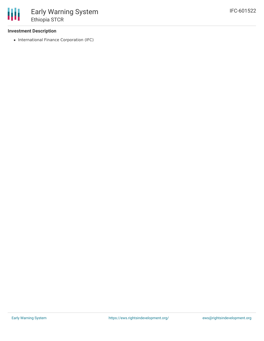## **Investment Description**

• International Finance Corporation (IFC)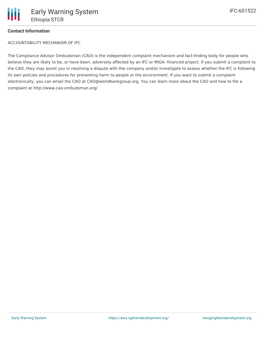ACCOUNTABILITY MECHANISM OF IFC

The Compliance Advisor Ombudsman (CAO) is the independent complaint mechanism and fact-finding body for people who believe they are likely to be, or have been, adversely affected by an IFC or MIGA- financed project. If you submit a complaint to the CAO, they may assist you in resolving a dispute with the company and/or investigate to assess whether the IFC is following its own policies and procedures for preventing harm to people or the environment. If you want to submit a complaint electronically, you can email the CAO at CAO@worldbankgroup.org. You can learn more about the CAO and how to file a complaint at http://www.cao-ombudsman.org/